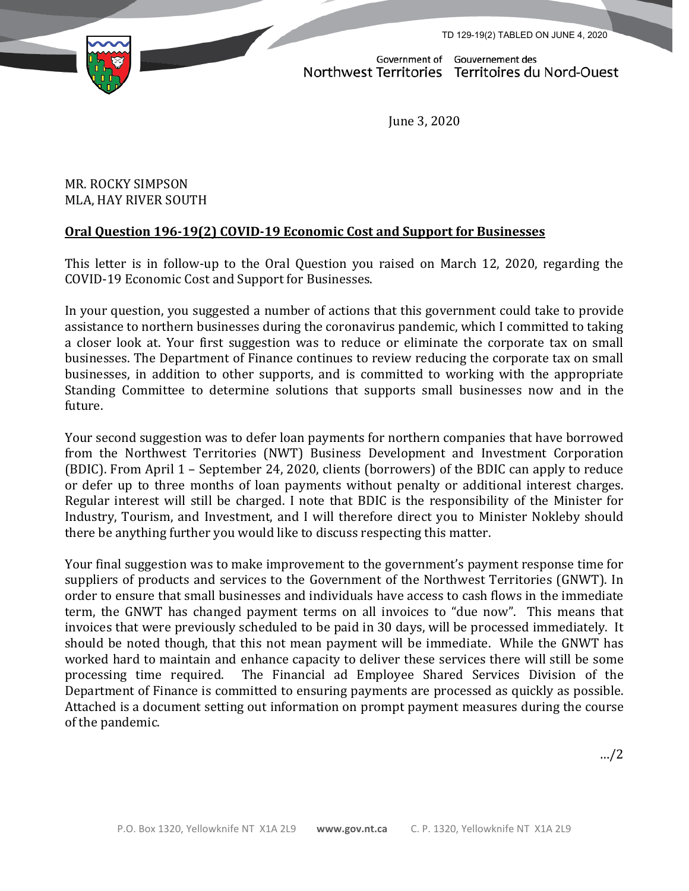TD 129-19(2) TABLED ON JUNE 4, 2020



Government of Gouvernement des Northwest Territories Territoires du Nord-Ouest

June 3, 2020

MR. ROCKY SIMPSON MLA, HAY RIVER SOUTH

# **Oral Question 196-19(2) COVID-19 Economic Cost and Support for Businesses**

This letter is in follow-up to the Oral Question you raised on March 12, 2020, regarding the COVID-19 Economic Cost and Support for Businesses.

In your question, you suggested a number of actions that this government could take to provide assistance to northern businesses during the coronavirus pandemic, which I committed to taking a closer look at. Your first suggestion was to reduce or eliminate the corporate tax on small businesses. The Department of Finance continues to review reducing the corporate tax on small businesses, in addition to other supports, and is committed to working with the appropriate Standing Committee to determine solutions that supports small businesses now and in the future.

Your second suggestion was to defer loan payments for northern companies that have borrowed from the Northwest Territories (NWT) Business Development and Investment Corporation (BDIC). From April 1 – September 24, 2020, clients (borrowers) of the BDIC can apply to reduce or defer up to three months of loan payments without penalty or additional interest charges. Regular interest will still be charged. I note that BDIC is the responsibility of the Minister for Industry, Tourism, and Investment, and I will therefore direct you to Minister Nokleby should there be anything further you would like to discuss respecting this matter.

Your final suggestion was to make improvement to the government's payment response time for suppliers of products and services to the Government of the Northwest Territories (GNWT). In order to ensure that small businesses and individuals have access to cash flows in the immediate term, the GNWT has changed payment terms on all invoices to "due now". This means that invoices that were previously scheduled to be paid in 30 days, will be processed immediately. It should be noted though, that this not mean payment will be immediate. While the GNWT has worked hard to maintain and enhance capacity to deliver these services there will still be some processing time required. The Financial ad Employee Shared Services Division of the Department of Finance is committed to ensuring payments are processed as quickly as possible. Attached is a document setting out information on prompt payment measures during the course of the pandemic.

…/2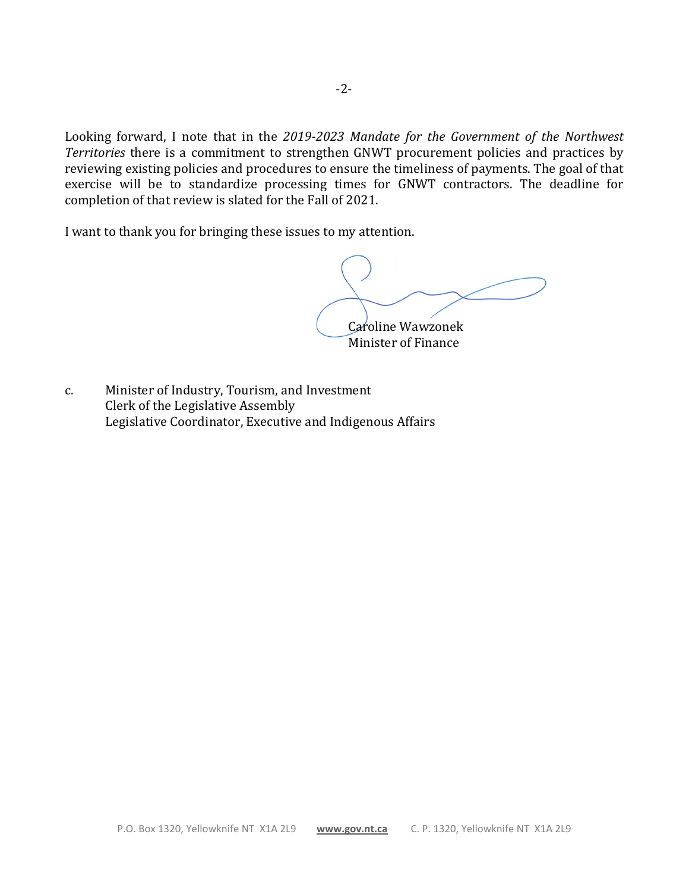Looking forward, I note that in the *2019-2023 Mandate for the Government of the Northwest Territories* there is a commitment to strengthen GNWT procurement policies and practices by reviewing existing policies and procedures to ensure the timeliness of payments. The goal of that exercise will be to standardize processing times for GNWT contractors. The deadline for completion of that review is slated for the Fall of 2021.

I want to thank you for bringing these issues to my attention.

Caroline Wawzonek

Minister of Finance

c. Minister of Industry, Tourism, and Investment Clerk of the Legislative Assembly Legislative Coordinator, Executive and Indigenous Affairs